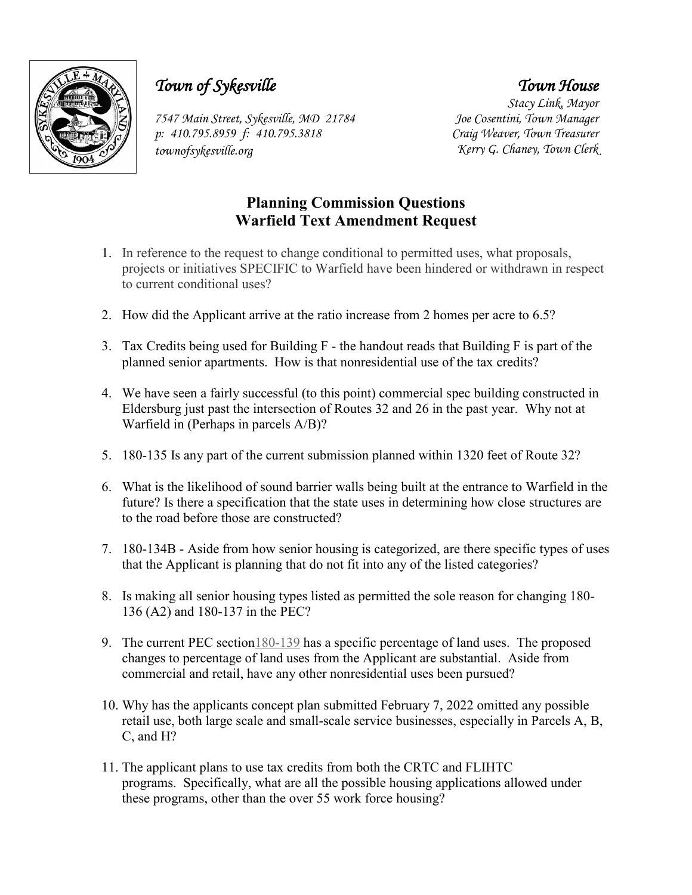

## *Town of Sykesville*

*7547 Main Street, Sykesville, MD 21784 p: 410.795.8959 f: 410.795.3818 townofsykesville.org*

## *Town House Stacy Link, Mayor*

*Joe Cosentini, Town Manager Craig Weaver, Town Treasurer Kerry G. Chaney, Town Clerk*

## **Planning Commission Questions Warfield Text Amendment Request**

- 1. In reference to the request to change conditional to permitted uses, what proposals, projects or initiatives SPECIFIC to Warfield have been hindered or withdrawn in respect to current conditional uses?
- 2. How did the Applicant arrive at the ratio increase from 2 homes per acre to 6.5?
- 3. Tax Credits being used for Building F the handout reads that Building F is part of the planned senior apartments. How is that nonresidential use of the tax credits?
- 4. We have seen a fairly successful (to this point) commercial spec building constructed in Eldersburg just past the intersection of Routes 32 and 26 in the past year. Why not at Warfield in (Perhaps in parcels A/B)?
- 5. 180-135 Is any part of the current submission planned within 1320 feet of Route 32?
- 6. What is the likelihood of sound barrier walls being built at the entrance to Warfield in the future? Is there a specification that the state uses in determining how close structures are to the road before those are constructed?
- 7. 180-134B Aside from how senior housing is categorized, are there specific types of uses that the Applicant is planning that do not fit into any of the listed categories?
- 8. Is making all senior housing types listed as permitted the sole reason for changing 180- 136 (A2) and 180-137 in the PEC?
- 9. The current PEC sectio[n180-139](https://ecode360.com/29782046#29782046) has a specific percentage of land uses. The proposed changes to percentage of land uses from the Applicant are substantial. Aside from commercial and retail, have any other nonresidential uses been pursued?
- 10. Why has the applicants concept plan submitted February 7, 2022 omitted any possible retail use, both large scale and small-scale service businesses, especially in Parcels A, B, C, and H?
- 11. The applicant plans to use tax credits from both the CRTC and FLIHTC programs. Specifically, what are all the possible housing applications allowed under these programs, other than the over 55 work force housing?